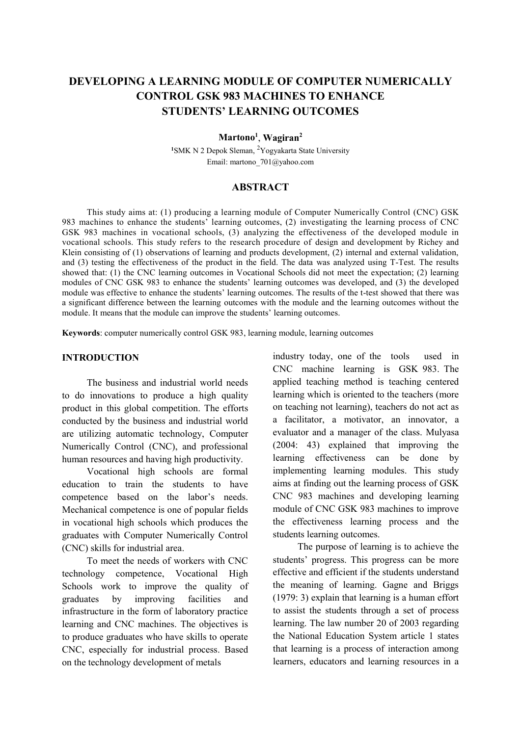# **DEVELOPING A LEARNING MODULE OF COMPUTER NUMERICALLY CONTROL GSK 983 MACHINES TO ENHANCE STUDENTS' LEARNING OUTCOMES**

## **Martono1** , **Wagiran2**

<sup>1</sup>SMK N 2 Depok Sleman, <sup>2</sup>Yogyakarta State University Email: martono\_701@yahoo.com

## **ABSTRACT**

This study aims at: (1) producing a learning module of Computer Numerically Control (CNC) GSK 983 machines to enhance the students' learning outcomes, (2) investigating the learning process of CNC GSK 983 machines in vocational schools, (3) analyzing the effectiveness of the developed module in vocational schools. This study refers to the research procedure of design and development by Richey and Klein consisting of (1) observations of learning and products development, (2) internal and external validation, and (3) testing the effectiveness of the product in the field. The data was analyzed using T-Test. The results showed that: (1) the CNC learning outcomes in Vocational Schools did not meet the expectation; (2) learning modules of CNC GSK 983 to enhance the students' learning outcomes was developed, and (3) the developed module was effective to enhance the students' learning outcomes. The results of the t-test showed that there was a significant difference between the learning outcomes with the module and the learning outcomes without the module. It means that the module can improve the students' learning outcomes.

**Keywords**: computer numerically control GSK 983, learning module, learning outcomes

#### **INTRODUCTION**

The business and industrial world needs to do innovations to produce a high quality product in this global competition. The efforts conducted by the business and industrial world are utilizing automatic technology, Computer Numerically Control (CNC), and professional human resources and having high productivity.

Vocational high schools are formal education to train the students to have competence based on the labor's needs. Mechanical competence is one of popular fields in vocational high schools which produces the graduates with Computer Numerically Control (CNC) skills for industrial area.

To meet the needs of workers with CNC technology competence, Vocational High Schools work to improve the quality of graduates by improving facilities and infrastructure in the form of laboratory practice learning and CNC machines. The objectives is to produce graduates who have skills to operate CNC, especially for industrial process. Based on the technology development of metals

industry today, one of the tools used in CNC machine learning is GSK 983. The applied teaching method is teaching centered learning which is oriented to the teachers (more on teaching not learning), teachers do not act as a facilitator, a motivator, an innovator, a evaluator and a manager of the class. Mulyasa (2004: 43) explained that improving the learning effectiveness can be done by implementing learning modules. This study aims at finding out the learning process of GSK CNC 983 machines and developing learning module of CNC GSK 983 machines to improve the effectiveness learning process and the students learning outcomes.

The purpose of learning is to achieve the students' progress. This progress can be more effective and efficient if the students understand the meaning of learning. Gagne and Briggs (1979: 3) explain that learning is a human effort to assist the students through a set of process learning. The law number 20 of 2003 regarding the National Education System article 1 states that learning is a process of interaction among learners, educators and learning resources in a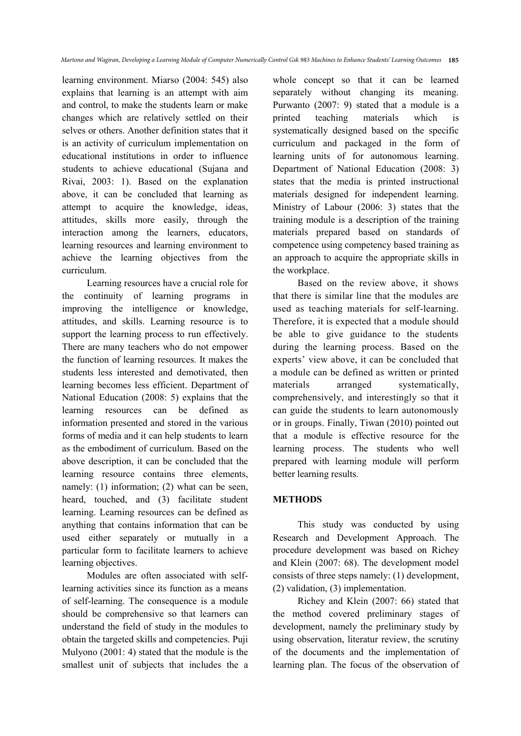learning environment. Miarso (2004: 545) also explains that learning is an attempt with aim and control, to make the students learn or make changes which are relatively settled on their selves or others. Another definition states that it is an activity of curriculum implementation on educational institutions in order to influence students to achieve educational (Sujana and Rivai, 2003: 1). Based on the explanation above, it can be concluded that learning as attempt to acquire the knowledge, ideas, attitudes, skills more easily, through the interaction among the learners, educators, learning resources and learning environment to achieve the learning objectives from the curriculum.

Learning resources have a crucial role for the continuity of learning programs in improving the intelligence or knowledge, attitudes, and skills. Learning resource is to support the learning process to run effectively. There are many teachers who do not empower the function of learning resources. It makes the students less interested and demotivated, then learning becomes less efficient. Department of National Education (2008: 5) explains that the learning resources can be defined as information presented and stored in the various forms of media and it can help students to learn as the embodiment of curriculum. Based on the above description, it can be concluded that the learning resource contains three elements, namely: (1) information; (2) what can be seen, heard, touched, and (3) facilitate student learning. Learning resources can be defined as anything that contains information that can be used either separately or mutually in a particular form to facilitate learners to achieve learning objectives.

Modules are often associated with selflearning activities since its function as a means of self-learning. The consequence is a module should be comprehensive so that learners can understand the field of study in the modules to obtain the targeted skills and competencies. Puji Mulyono (2001: 4) stated that the module is the smallest unit of subjects that includes the a whole concept so that it can be learned separately without changing its meaning. Purwanto (2007: 9) stated that a module is a printed teaching materials which is systematically designed based on the specific curriculum and packaged in the form of learning units of for autonomous learning. Department of National Education (2008: 3) states that the media is printed instructional materials designed for independent learning. Ministry of Labour (2006: 3) states that the training module is a description of the training materials prepared based on standards of competence using competency based training as an approach to acquire the appropriate skills in the workplace.

Based on the review above, it shows that there is similar line that the modules are used as teaching materials for self-learning. Therefore, it is expected that a module should be able to give guidance to the students during the learning process. Based on the experts' view above, it can be concluded that a module can be defined as written or printed materials arranged systematically, comprehensively, and interestingly so that it can guide the students to learn autonomously or in groups. Finally, Tiwan (2010) pointed out that a module is effective resource for the learning process. The students who well prepared with learning module will perform better learning results.

## **METHODS**

This study was conducted by using Research and Development Approach. The procedure development was based on Richey and Klein (2007: 68). The development model consists of three steps namely: (1) development, (2) validation, (3) implementation.

Richey and Klein (2007: 66) stated that the method covered preliminary stages of development, namely the preliminary study by using observation, literatur review, the scrutiny of the documents and the implementation of learning plan. The focus of the observation of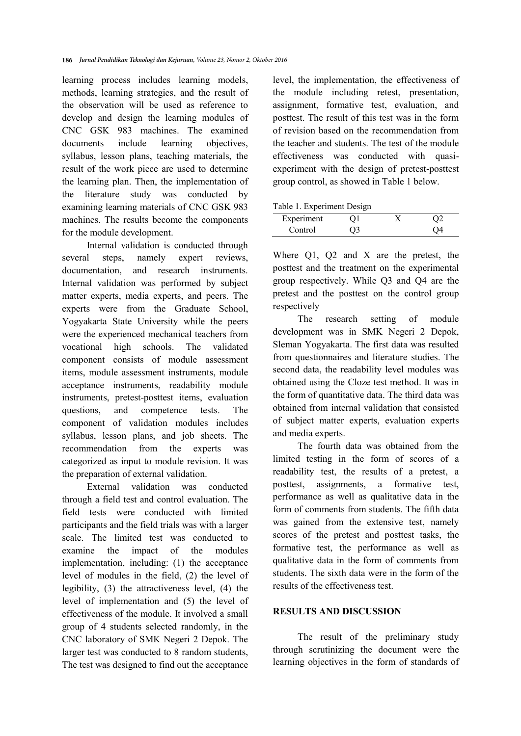learning process includes learning models, methods, learning strategies, and the result of the observation will be used as reference to develop and design the learning modules of CNC GSK 983 machines. The examined documents include learning objectives, syllabus, lesson plans, teaching materials, the result of the work piece are used to determine the learning plan. Then, the implementation of the literature study was conducted by examining learning materials of CNC GSK 983 machines. The results become the components for the module development.

Internal validation is conducted through several steps, namely expert reviews, documentation, and research instruments. Internal validation was performed by subject matter experts, media experts, and peers. The experts were from the Graduate School, Yogyakarta State University while the peers were the experienced mechanical teachers from vocational high schools. The validated component consists of module assessment items, module assessment instruments, module acceptance instruments, readability module instruments, pretest-posttest items, evaluation questions, and competence tests. The component of validation modules includes syllabus, lesson plans, and job sheets. The recommendation from the experts was categorized as input to module revision. It was the preparation of external validation.

External validation was conducted through a field test and control evaluation. The field tests were conducted with limited participants and the field trials was with a larger scale. The limited test was conducted to examine the impact of the modules implementation, including: (1) the acceptance level of modules in the field, (2) the level of legibility, (3) the attractiveness level, (4) the level of implementation and (5) the level of effectiveness of the module. It involved a small group of 4 students selected randomly, in the CNC laboratory of SMK Negeri 2 Depok. The larger test was conducted to 8 random students, The test was designed to find out the acceptance

level, the implementation, the effectiveness of the module including retest, presentation, assignment, formative test, evaluation, and posttest. The result of this test was in the form of revision based on the recommendation from the teacher and students. The test of the module effectiveness was conducted with quasiexperiment with the design of pretest-posttest group control, as showed in Table 1 below.

|  | Table 1. Experiment Design |  |
|--|----------------------------|--|
|--|----------------------------|--|

| - - - - - - . - - - - - - - - - - - - | - - - - - - - |  |
|---------------------------------------|---------------|--|
| Experiment                            |               |  |
| Control                               |               |  |

Where O1, O2 and X are the pretest, the posttest and the treatment on the experimental group respectively. While Q3 and Q4 are the pretest and the posttest on the control group respectively

The research setting of module development was in SMK Negeri 2 Depok, Sleman Yogyakarta. The first data was resulted from questionnaires and literature studies. The second data, the readability level modules was obtained using the Cloze test method. It was in the form of quantitative data. The third data was obtained from internal validation that consisted of subject matter experts, evaluation experts and media experts.

The fourth data was obtained from the limited testing in the form of scores of a readability test, the results of a pretest, a posttest, assignments, a formative test, performance as well as qualitative data in the form of comments from students. The fifth data was gained from the extensive test, namely scores of the pretest and posttest tasks, the formative test, the performance as well as qualitative data in the form of comments from students. The sixth data were in the form of the results of the effectiveness test.

#### **RESULTS AND DISCUSSION**

The result of the preliminary study through scrutinizing the document were the learning objectives in the form of standards of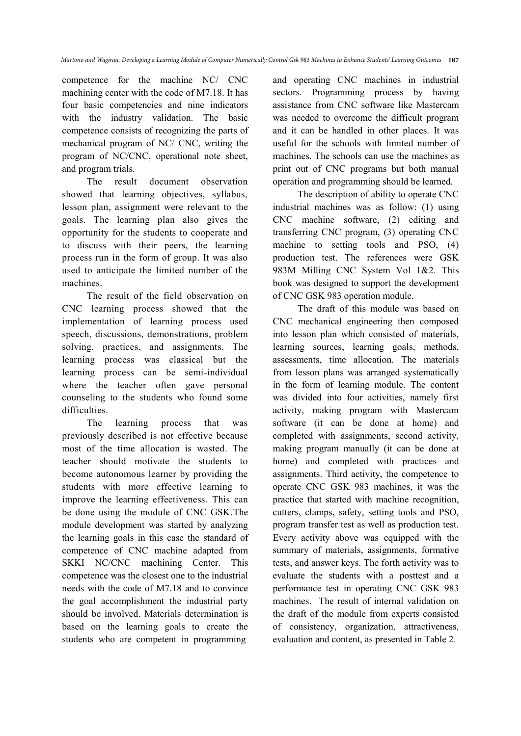competence for the machine NC/ CNC machining center with the code of M7.18. It has four basic competencies and nine indicators with the industry validation. The basic competence consists of recognizing the parts of mechanical program of NC/ CNC, writing the program of NC/CNC, operational note sheet, and program trials.

The result document observation showed that learning objectives, syllabus, lesson plan, assignment were relevant to the goals. The learning plan also gives the opportunity for the students to cooperate and to discuss with their peers, the learning process run in the form of group. It was also used to anticipate the limited number of the machines.

The result of the field observation on CNC learning process showed that the implementation of learning process used speech, discussions, demonstrations, problem solving, practices, and assignments. The learning process was classical but the learning process can be semi-individual where the teacher often gave personal counseling to the students who found some difficulties.

The learning process that was previously described is not effective because most of the time allocation is wasted. The teacher should motivate the students to become autonomous learner by providing the students with more effective learning to improve the learning effectiveness. This can be done using the module of CNC GSK.The module development was started by analyzing the learning goals in this case the standard of competence of CNC machine adapted from SKKI NC/CNC machining Center. This competence was the closest one to the industrial needs with the code of M7.18 and to convince the goal accomplishment the industrial party should be involved. Materials determination is based on the learning goals to create the students who are competent in programming

and operating CNC machines in industrial sectors. Programming process by having assistance from CNC software like Mastercam was needed to overcome the difficult program and it can be handled in other places. It was useful for the schools with limited number of machines. The schools can use the machines as print out of CNC programs but both manual operation and programming should be learned.

The description of ability to operate CNC industrial machines was as follow: (1) using CNC machine software, (2) editing and transferring CNC program, (3) operating CNC machine to setting tools and PSO, (4) production test. The references were GSK 983M Milling CNC System Vol 1&2. This book was designed to support the development of CNC GSK 983 operation module.

The draft of this module was based on CNC mechanical engineering then composed into lesson plan which consisted of materials, learning sources, learning goals, methods, assessments, time allocation. The materials from lesson plans was arranged systematically in the form of learning module. The content was divided into four activities, namely first activity, making program with Mastercam software (it can be done at home) and completed with assignments, second activity, making program manually (it can be done at home) and completed with practices and assignments. Third activity, the competence to operate CNC GSK 983 machines, it was the practice that started with machine recognition, cutters, clamps, safety, setting tools and PSO, program transfer test as well as production test. Every activity above was equipped with the summary of materials, assignments, formative tests, and answer keys. The forth activity was to evaluate the students with a posttest and a performance test in operating CNC GSK 983 machines. The result of internal validation on the draft of the module from experts consisted of consistency, organization, attractiveness, evaluation and content, as presented in Table 2.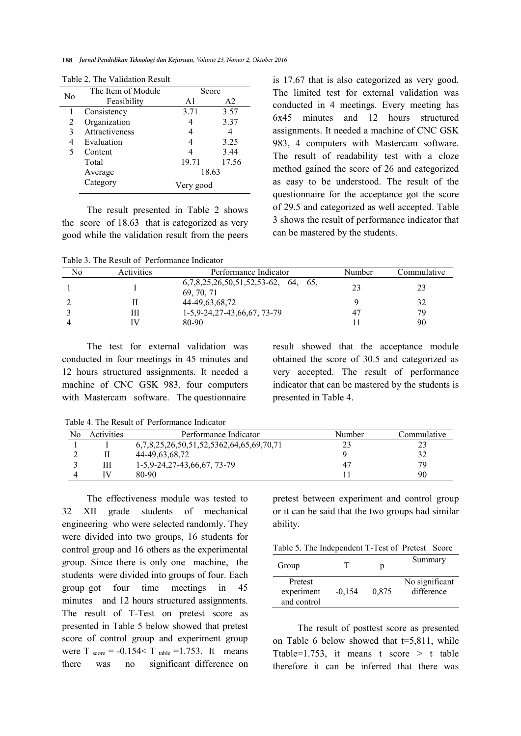|    | The Item of Module | Score     |       |
|----|--------------------|-----------|-------|
| No | Feasibility        | A1        | A2    |
|    | Consistency        | 3.71      | 3.57  |
| 2  | Organization       |           | 3.37  |
| 3  | Attractiveness     |           |       |
| 4  | Evaluation         |           | 3.25  |
| 5  | Content            |           | 3.44  |
|    | Total              | 19.71     | 17.56 |
|    | Average            | 18.63     |       |
|    | Category           | Very good |       |

Table 2. The Validation Result

The result presented in Table 2 shows the score of 18.63 that is categorized as very good while the validation result from the peers

Table 3. The Result of Performance Indicator

is 17.67 that is also categorized as very good. The limited test for external validation was conducted in 4 meetings. Every meeting has 6x45 minutes and 12 hours structured assignments. It needed a machine of CNC GSK 983, 4 computers with Mastercam software. The result of readability test with a cloze method gained the score of 26 and categorized as easy to be understood. The result of the questionnaire for the acceptance got the score of 29.5 and categorized as well accepted. Table 3 shows the result of performance indicator that can be mastered by the students.

| No | Activities | Performance Indicator                               | Number | Commulative |
|----|------------|-----------------------------------------------------|--------|-------------|
|    |            | $6,7,8,25,26,50,51,52,53-62, 64, 65,$<br>69, 70, 71 | 23     | 23          |
|    |            | 44-49,63,68,72                                      |        | 32          |
|    | Ш          | 1-5,9-24,27-43,66,67, 73-79                         | 47     | 79          |
|    | ΓV         | 80-90                                               |        | 90          |

The test for external validation was conducted in four meetings in 45 minutes and 12 hours structured assignments. It needed a machine of CNC GSK 983, four computers with Mastercam software. The questionnaire

result showed that the acceptance module obtained the score of 30.5 and categorized as very accepted. The result of performance indicator that can be mastered by the students is presented in Table 4.

Table 4. The Result of Performance Indicator

| No | <b>Activities</b> | Performance Indicator                    | Number | Commulative |
|----|-------------------|------------------------------------------|--------|-------------|
|    |                   | 6,7,8,25,26,50,51,52,5362,64,65,69,70,71 |        |             |
|    |                   | 44-49,63,68,72                           |        |             |
|    | Ш                 | $1-5,9-24,27-43,66,67,73-79$             | 47     | 70          |
|    |                   | 80-90                                    |        | 90          |

The effectiveness module was tested to 32 XII grade students of mechanical engineering who were selected randomly. They were divided into two groups, 16 students for control group and 16 others as the experimental group. Since there is only one machine, the students were divided into groups of four. Each group got four time meetings in 45 minutes and 12 hours structured assignments. The result of T-Test on pretest score as presented in Table 5 below showed that pretest score of control group and experiment group were  $T_{\text{score}} = -0.154 < T_{\text{table}} = 1.753$ . It means there was no significant difference on pretest between experiment and control group or it can be said that the two groups had similar ability.

| Table 5. The Independent T-Test of Pretest Score |  |  |  |  |
|--------------------------------------------------|--|--|--|--|
|--------------------------------------------------|--|--|--|--|

| Group                                |          |       | Summary                      |
|--------------------------------------|----------|-------|------------------------------|
| Pretest<br>experiment<br>and control | $-0.154$ | 0.875 | No significant<br>difference |

The result of posttest score as presented on Table 6 below showed that  $t=5,811$ , while Ttable=1.753, it means t score  $>$  t table therefore it can be inferred that there was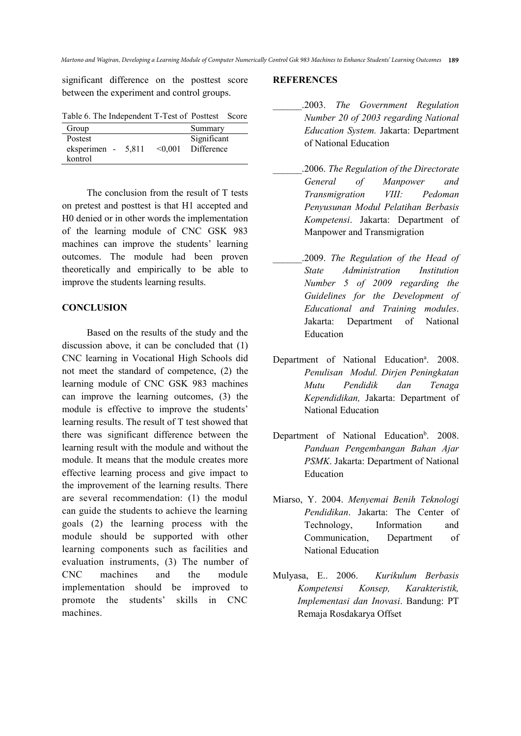significant difference on the posttest score between the experiment and control groups.

| Table 6. The Independent T-Test of Posttest Score |  |
|---------------------------------------------------|--|
|---------------------------------------------------|--|

| Group              |         | Summary     |
|--------------------|---------|-------------|
| Postest            |         | Significant |
| eksperimen - 5,811 | < 0.001 | Difference  |
| kontrol            |         |             |

The conclusion from the result of T tests on pretest and posttest is that H1 accepted and H0 denied or in other words the implementation of the learning module of CNC GSK 983 machines can improve the students' learning outcomes. The module had been proven theoretically and empirically to be able to improve the students learning results.

## **CONCLUSION**

Based on the results of the study and the discussion above, it can be concluded that (1) CNC learning in Vocational High Schools did not meet the standard of competence, (2) the learning module of CNC GSK 983 machines can improve the learning outcomes, (3) the module is effective to improve the students' learning results. The result of T test showed that there was significant difference between the learning result with the module and without the module. It means that the module creates more effective learning process and give impact to the improvement of the learning results. There are several recommendation: (1) the modul can guide the students to achieve the learning goals (2) the learning process with the module should be supported with other learning components such as facilities and evaluation instruments, (3) The number of CNC machines and the module implementation should be improved to promote the students' skills in CNC machines.

#### **REFERENCES**

- \_\_\_\_\_\_.2003. *The Government Regulation Number 20 of 2003 regarding National Education System.* Jakarta: Department of National Education
- \_\_\_\_\_\_.2006. *The Regulation of the Directorate General of Manpower and Transmigration VIII: Pedoman Penyusunan Modul Pelatihan Berbasis Kompetensi*. Jakarta: Department of Manpower and Transmigration
- \_\_\_\_\_\_.2009. *The Regulation of the Head of State Administration Institution Number 5 of 2009 regarding the Guidelines for the Development of Educational and Training modules*. Jakarta: Department of National Education
- Department of National Education<sup>a</sup>. 2008. *Penulisan Modul. Dirjen Peningkatan Mutu Pendidik dan Tenaga Kependidikan,* Jakarta: Department of National Education
- Department of National Education<sup>b</sup>. 2008. *Panduan Pengembangan Bahan Ajar PSMK*. Jakarta: Department of National Education
- Miarso, Y. 2004. *Menyemai Benih Teknologi Pendidikan*. Jakarta: The Center of Technology, Information and Communication, Department of National Education
- Mulyasa, E.. 2006. *Kurikulum Berbasis Kompetensi Konsep, Karakteristik, Implementasi dan Inovasi*. Bandung: PT Remaja Rosdakarya Offset